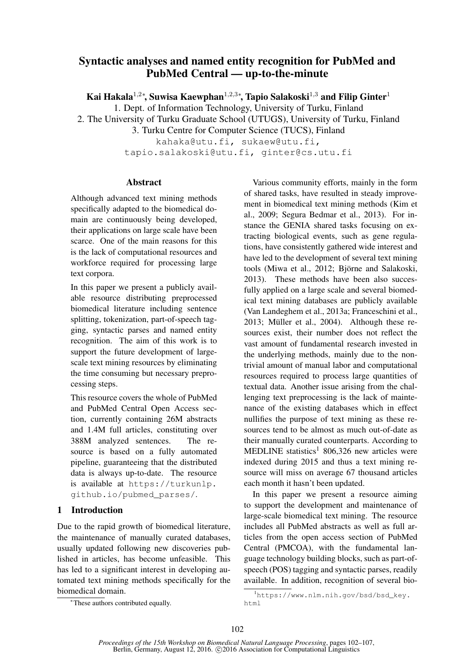# Syntactic analyses and named entity recognition for PubMed and PubMed Central — up-to-the-minute

Kai Hakala $^{1,2*}$ , Suwisa Kaewphan $^{1,2,3*}$ , Tapio Salakoski $^{1,3}$  and Filip Ginter $^1$ 

1. Dept. of Information Technology, University of Turku, Finland

2. The University of Turku Graduate School (UTUGS), University of Turku, Finland

3. Turku Centre for Computer Science (TUCS), Finland

kahaka@utu.fi, sukaew@utu.fi, tapio.salakoski@utu.fi, ginter@cs.utu.fi

# Abstract

Although advanced text mining methods specifically adapted to the biomedical domain are continuously being developed, their applications on large scale have been scarce. One of the main reasons for this is the lack of computational resources and workforce required for processing large text corpora.

In this paper we present a publicly available resource distributing preprocessed biomedical literature including sentence splitting, tokenization, part-of-speech tagging, syntactic parses and named entity recognition. The aim of this work is to support the future development of largescale text mining resources by eliminating the time consuming but necessary preprocessing steps.

This resource covers the whole of PubMed and PubMed Central Open Access section, currently containing 26M abstracts and 1.4M full articles, constituting over 388M analyzed sentences. The resource is based on a fully automated pipeline, guaranteeing that the distributed data is always up-to-date. The resource is available at https://turkunlp. github.io/pubmed\_parses/.

# 1 Introduction

Due to the rapid growth of biomedical literature, the maintenance of manually curated databases, usually updated following new discoveries published in articles, has become unfeasible. This has led to a significant interest in developing automated text mining methods specifically for the biomedical domain.

<sup>∗</sup>These authors contributed equally.

Various community efforts, mainly in the form of shared tasks, have resulted in steady improvement in biomedical text mining methods (Kim et al., 2009; Segura Bedmar et al., 2013). For instance the GENIA shared tasks focusing on extracting biological events, such as gene regulations, have consistently gathered wide interest and have led to the development of several text mining tools (Miwa et al., 2012; Björne and Salakoski, 2013). These methods have been also succesfully applied on a large scale and several biomedical text mining databases are publicly available (Van Landeghem et al., 2013a; Franceschini et al.,  $2013$ ; Müller et al.,  $2004$ ). Although these resources exist, their number does not reflect the vast amount of fundamental research invested in the underlying methods, mainly due to the nontrivial amount of manual labor and computational resources required to process large quantities of textual data. Another issue arising from the challenging text preprocessing is the lack of maintenance of the existing databases which in effect nullifies the purpose of text mining as these resources tend to be almost as much out-of-date as their manually curated counterparts. According to MEDLINE statistics<sup>1</sup> 806,326 new articles were indexed during 2015 and thus a text mining resource will miss on average 67 thousand articles each month it hasn't been updated.

In this paper we present a resource aiming to support the development and maintenance of large-scale biomedical text mining. The resource includes all PubMed abstracts as well as full articles from the open access section of PubMed Central (PMCOA), with the fundamental language technology building blocks, such as part-ofspeech (POS) tagging and syntactic parses, readily available. In addition, recognition of several bio-

<sup>1</sup>https://www.nlm.nih.gov/bsd/bsd\_key. html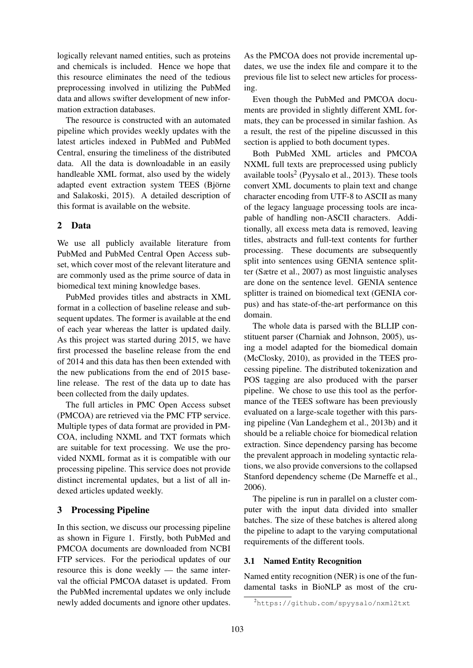logically relevant named entities, such as proteins and chemicals is included. Hence we hope that this resource eliminates the need of the tedious preprocessing involved in utilizing the PubMed data and allows swifter development of new information extraction databases.

The resource is constructed with an automated pipeline which provides weekly updates with the latest articles indexed in PubMed and PubMed Central, ensuring the timeliness of the distributed data. All the data is downloadable in an easily handleable XML format, also used by the widely adapted event extraction system TEES (Björne and Salakoski, 2015). A detailed description of this format is available on the website.

### 2 Data

We use all publicly available literature from PubMed and PubMed Central Open Access subset, which cover most of the relevant literature and are commonly used as the prime source of data in biomedical text mining knowledge bases.

PubMed provides titles and abstracts in XML format in a collection of baseline release and subsequent updates. The former is available at the end of each year whereas the latter is updated daily. As this project was started during 2015, we have first processed the baseline release from the end of 2014 and this data has then been extended with the new publications from the end of 2015 baseline release. The rest of the data up to date has been collected from the daily updates.

The full articles in PMC Open Access subset (PMCOA) are retrieved via the PMC FTP service. Multiple types of data format are provided in PM-COA, including NXML and TXT formats which are suitable for text processing. We use the provided NXML format as it is compatible with our processing pipeline. This service does not provide distinct incremental updates, but a list of all indexed articles updated weekly.

# 3 Processing Pipeline

In this section, we discuss our processing pipeline as shown in Figure 1. Firstly, both PubMed and PMCOA documents are downloaded from NCBI FTP services. For the periodical updates of our resource this is done weekly — the same interval the official PMCOA dataset is updated. From the PubMed incremental updates we only include newly added documents and ignore other updates.

As the PMCOA does not provide incremental updates, we use the index file and compare it to the previous file list to select new articles for processing.

Even though the PubMed and PMCOA documents are provided in slightly different XML formats, they can be processed in similar fashion. As a result, the rest of the pipeline discussed in this section is applied to both document types.

Both PubMed XML articles and PMCOA NXML full texts are preprocessed using publicly available tools $2$  (Pyysalo et al., 2013). These tools convert XML documents to plain text and change character encoding from UTF-8 to ASCII as many of the legacy language processing tools are incapable of handling non-ASCII characters. Additionally, all excess meta data is removed, leaving titles, abstracts and full-text contents for further processing. These documents are subsequently split into sentences using GENIA sentence splitter (Sætre et al., 2007) as most linguistic analyses are done on the sentence level. GENIA sentence splitter is trained on biomedical text (GENIA corpus) and has state-of-the-art performance on this domain.

The whole data is parsed with the BLLIP constituent parser (Charniak and Johnson, 2005), using a model adapted for the biomedical domain (McClosky, 2010), as provided in the TEES processing pipeline. The distributed tokenization and POS tagging are also produced with the parser pipeline. We chose to use this tool as the performance of the TEES software has been previously evaluated on a large-scale together with this parsing pipeline (Van Landeghem et al., 2013b) and it should be a reliable choice for biomedical relation extraction. Since dependency parsing has become the prevalent approach in modeling syntactic relations, we also provide conversions to the collapsed Stanford dependency scheme (De Marneffe et al., 2006).

The pipeline is run in parallel on a cluster computer with the input data divided into smaller batches. The size of these batches is altered along the pipeline to adapt to the varying computational requirements of the different tools.

#### 3.1 Named Entity Recognition

Named entity recognition (NER) is one of the fundamental tasks in BioNLP as most of the cru-

<sup>2</sup>https://github.com/spyysalo/nxml2txt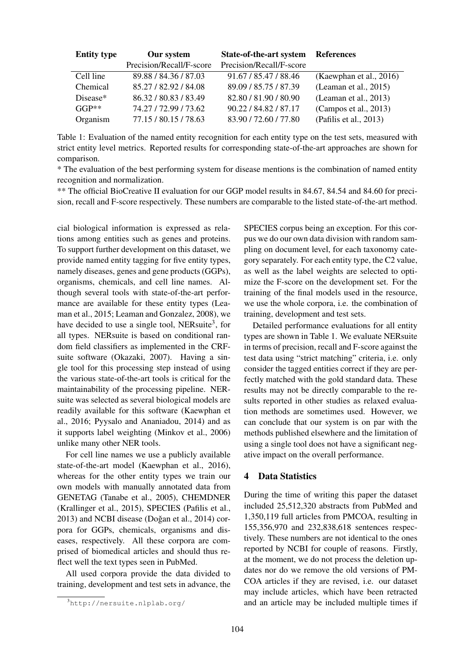| <b>Entity type</b> | Our system               | State-of-the-art system References |                           |
|--------------------|--------------------------|------------------------------------|---------------------------|
|                    | Precision/Recall/F-score | Precision/Recall/F-score           |                           |
| Cell line          | 89.88 / 84.36 / 87.03    | 91.67 / 85.47 / 88.46              | (Kaewphan et al., 2016)   |
| Chemical           | 85.27 / 82.92 / 84.08    | 89.09 / 85.75 / 87.39              | (Learnan et al., $2015$ ) |
| Disease*           | 86.32/80.83/83.49        | 82.80 / 81.90 / 80.90              | (Leaman et al., 2013)     |
| $GGP**$            | 74.27 / 72.99 / 73.62    | 90.22 / 84.82 / 87.17              | (Campos et al., 2013)     |
| Organism           | 77.15 / 80.15 / 78.63    | 83.90 / 72.60 / 77.80              | (Pafilis et al., 2013)    |

Table 1: Evaluation of the named entity recognition for each entity type on the test sets, measured with strict entity level metrics. Reported results for corresponding state-of-the-art approaches are shown for comparison.

\* The evaluation of the best performing system for disease mentions is the combination of named entity recognition and normalization.

\*\* The official BioCreative II evaluation for our GGP model results in 84.67, 84.54 and 84.60 for precision, recall and F-score respectively. These numbers are comparable to the listed state-of-the-art method.

cial biological information is expressed as relations among entities such as genes and proteins. To support further development on this dataset, we provide named entity tagging for five entity types, namely diseases, genes and gene products (GGPs), organisms, chemicals, and cell line names. Although several tools with state-of-the-art performance are available for these entity types (Leaman et al., 2015; Leaman and Gonzalez, 2008), we have decided to use a single tool, NERsuite<sup>3</sup>, for all types. NERsuite is based on conditional random field classifiers as implemented in the CRFsuite software (Okazaki, 2007). Having a single tool for this processing step instead of using the various state-of-the-art tools is critical for the maintainability of the processing pipeline. NERsuite was selected as several biological models are readily available for this software (Kaewphan et al., 2016; Pyysalo and Ananiadou, 2014) and as it supports label weighting (Minkov et al., 2006) unlike many other NER tools.

For cell line names we use a publicly available state-of-the-art model (Kaewphan et al., 2016), whereas for the other entity types we train our own models with manually annotated data from GENETAG (Tanabe et al., 2005), CHEMDNER (Krallinger et al., 2015), SPECIES (Pafilis et al.,  $2013$ ) and NCBI disease (Doğan et al.,  $2014$ ) corpora for GGPs, chemicals, organisms and diseases, respectively. All these corpora are comprised of biomedical articles and should thus reflect well the text types seen in PubMed.

All used corpora provide the data divided to training, development and test sets in advance, the SPECIES corpus being an exception. For this corpus we do our own data division with random sampling on document level, for each taxonomy category separately. For each entity type, the C2 value, as well as the label weights are selected to optimize the F-score on the development set. For the training of the final models used in the resource, we use the whole corpora, i.e. the combination of training, development and test sets.

Detailed performance evaluations for all entity types are shown in Table 1. We evaluate NERsuite in terms of precision, recall and F-score against the test data using "strict matching" criteria, i.e. only consider the tagged entities correct if they are perfectly matched with the gold standard data. These results may not be directly comparable to the results reported in other studies as relaxed evaluation methods are sometimes used. However, we can conclude that our system is on par with the methods published elsewhere and the limitation of using a single tool does not have a significant negative impact on the overall performance.

#### 4 Data Statistics

During the time of writing this paper the dataset included 25,512,320 abstracts from PubMed and 1,350,119 full articles from PMCOA, resulting in 155,356,970 and 232,838,618 sentences respectively. These numbers are not identical to the ones reported by NCBI for couple of reasons. Firstly, at the moment, we do not process the deletion updates nor do we remove the old versions of PM-COA articles if they are revised, i.e. our dataset may include articles, which have been retracted and an article may be included multiple times if

<sup>3</sup>http://nersuite.nlplab.org/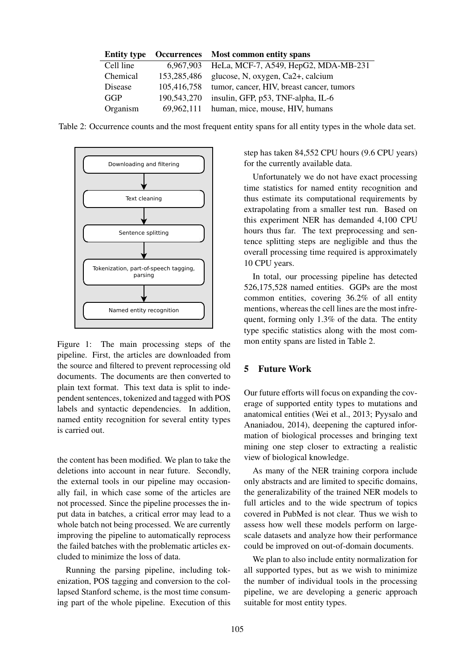| <b>Entity type</b> |             | Occurrences Most common entity spans      |
|--------------------|-------------|-------------------------------------------|
| Cell line          | 6,967,903   | HeLa, MCF-7, A549, HepG2, MDA-MB-231      |
| Chemical           | 153,285,486 | glucose, N, oxygen, Ca2+, calcium         |
| Disease            | 105,416,758 | tumor, cancer, HIV, breast cancer, tumors |
| GGP                | 190,543,270 | insulin, GFP, p53, TNF-alpha, IL-6        |
| Organism           | 69,962,111  | human, mice, mouse, HIV, humans           |

Table 2: Occurrence counts and the most frequent entity spans for all entity types in the whole data set.



Figure 1: The main processing steps of the pipeline. First, the articles are downloaded from the source and filtered to prevent reprocessing old documents. The documents are then converted to plain text format. This text data is split to independent sentences, tokenized and tagged with POS labels and syntactic dependencies. In addition, named entity recognition for several entity types is carried out.

the content has been modified. We plan to take the deletions into account in near future. Secondly, the external tools in our pipeline may occasionally fail, in which case some of the articles are not processed. Since the pipeline processes the input data in batches, a critical error may lead to a whole batch not being processed. We are currently improving the pipeline to automatically reprocess the failed batches with the problematic articles excluded to minimize the loss of data.

Running the parsing pipeline, including tokenization, POS tagging and conversion to the collapsed Stanford scheme, is the most time consuming part of the whole pipeline. Execution of this step has taken 84,552 CPU hours (9.6 CPU years) for the currently available data.

Unfortunately we do not have exact processing time statistics for named entity recognition and thus estimate its computational requirements by extrapolating from a smaller test run. Based on this experiment NER has demanded 4,100 CPU hours thus far. The text preprocessing and sentence splitting steps are negligible and thus the overall processing time required is approximately 10 CPU years.

In total, our processing pipeline has detected 526,175,528 named entities. GGPs are the most common entities, covering 36.2% of all entity mentions, whereas the cell lines are the most infrequent, forming only 1.3% of the data. The entity type specific statistics along with the most common entity spans are listed in Table 2.

# 5 Future Work

Our future efforts will focus on expanding the coverage of supported entity types to mutations and anatomical entities (Wei et al., 2013; Pyysalo and Ananiadou, 2014), deepening the captured information of biological processes and bringing text mining one step closer to extracting a realistic view of biological knowledge.

As many of the NER training corpora include only abstracts and are limited to specific domains, the generalizability of the trained NER models to full articles and to the wide spectrum of topics covered in PubMed is not clear. Thus we wish to assess how well these models perform on largescale datasets and analyze how their performance could be improved on out-of-domain documents.

We plan to also include entity normalization for all supported types, but as we wish to minimize the number of individual tools in the processing pipeline, we are developing a generic approach suitable for most entity types.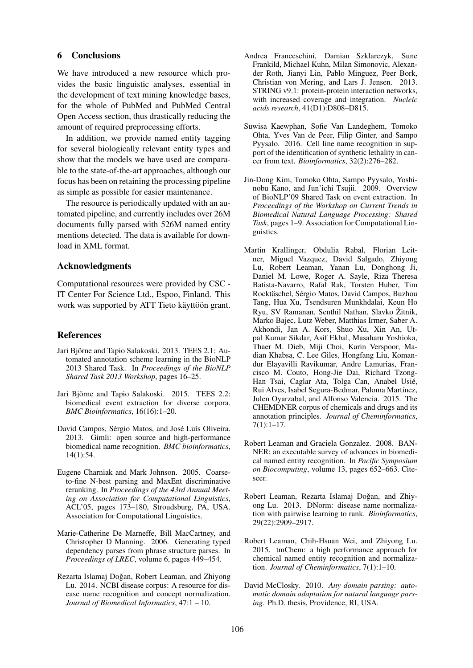#### 6 Conclusions

We have introduced a new resource which provides the basic linguistic analyses, essential in the development of text mining knowledge bases, for the whole of PubMed and PubMed Central Open Access section, thus drastically reducing the amount of required preprocessing efforts.

In addition, we provide named entity tagging for several biologically relevant entity types and show that the models we have used are comparable to the state-of-the-art approaches, although our focus has been on retaining the processing pipeline as simple as possible for easier maintenance.

The resource is periodically updated with an automated pipeline, and currently includes over 26M documents fully parsed with 526M named entity mentions detected. The data is available for download in XML format.

# Acknowledgments

Computational resources were provided by CSC - IT Center For Science Ltd., Espoo, Finland. This work was supported by ATT Tieto käyttöön grant.

#### References

- Jari Björne and Tapio Salakoski. 2013. TEES 2.1: Automated annotation scheme learning in the BioNLP 2013 Shared Task. In *Proceedings of the BioNLP Shared Task 2013 Workshop*, pages 16–25.
- Jari Björne and Tapio Salakoski. 2015. TEES 2.2: biomedical event extraction for diverse corpora. *BMC Bioinformatics*, 16(16):1–20.
- David Campos, Sérgio Matos, and José Luís Oliveira. 2013. Gimli: open source and high-performance biomedical name recognition. *BMC bioinformatics*, 14(1):54.
- Eugene Charniak and Mark Johnson. 2005. Coarseto-fine N-best parsing and MaxEnt discriminative reranking. In *Proceedings of the 43rd Annual Meeting on Association for Computational Linguistics*, ACL'05, pages 173–180, Stroudsburg, PA, USA. Association for Computational Linguistics.
- Marie-Catherine De Marneffe, Bill MacCartney, and Christopher D Manning. 2006. Generating typed dependency parses from phrase structure parses. In *Proceedings of LREC*, volume 6, pages 449–454.
- Rezarta Islamaj Doğan, Robert Leaman, and Zhiyong Lu. 2014. NCBI disease corpus: A resource for disease name recognition and concept normalization. *Journal of Biomedical Informatics*, 47:1 – 10.
- Andrea Franceschini, Damian Szklarczyk, Sune Frankild, Michael Kuhn, Milan Simonovic, Alexander Roth, Jianyi Lin, Pablo Minguez, Peer Bork, Christian von Mering, and Lars J. Jensen. 2013. STRING v9.1: protein-protein interaction networks, with increased coverage and integration. *Nucleic acids research*, 41(D1):D808–D815.
- Suwisa Kaewphan, Sofie Van Landeghem, Tomoko Ohta, Yves Van de Peer, Filip Ginter, and Sampo Pyysalo. 2016. Cell line name recognition in support of the identification of synthetic lethality in cancer from text. *Bioinformatics*, 32(2):276–282.
- Jin-Dong Kim, Tomoko Ohta, Sampo Pyysalo, Yoshinobu Kano, and Jun'ichi Tsujii. 2009. Overview of BioNLP'09 Shared Task on event extraction. In *Proceedings of the Workshop on Current Trends in Biomedical Natural Language Processing: Shared Task*, pages 1–9. Association for Computational Linguistics.
- Martin Krallinger, Obdulia Rabal, Florian Leitner, Miguel Vazquez, David Salgado, Zhiyong Lu, Robert Leaman, Yanan Lu, Donghong Ji, Daniel M. Lowe, Roger A. Sayle, Riza Theresa Batista-Navarro, Rafal Rak, Torsten Huber, Tim Rocktäschel, Sérgio Matos, David Campos, Buzhou Tang, Hua Xu, Tsendsuren Munkhdalai, Keun Ho Ryu, SV Ramanan, Senthil Nathan, Slavko Žitnik, Marko Bajec, Lutz Weber, Matthias Irmer, Saber A. Akhondi, Jan A. Kors, Shuo Xu, Xin An, Utpal Kumar Sikdar, Asif Ekbal, Masaharu Yoshioka, Thaer M. Dieb, Miji Choi, Karin Verspoor, Madian Khabsa, C. Lee Giles, Hongfang Liu, Komandur Elayavilli Ravikumar, Andre Lamurias, Francisco M. Couto, Hong-Jie Dai, Richard Tzong-Han Tsai, Caglar Ata, Tolga Can, Anabel Usié, Rui Alves, Isabel Segura-Bedmar, Paloma Martínez, Julen Oyarzabal, and Alfonso Valencia. 2015. The CHEMDNER corpus of chemicals and drugs and its annotation principles. *Journal of Cheminformatics*, 7(1):1–17.
- Robert Leaman and Graciela Gonzalez. 2008. BAN-NER: an executable survey of advances in biomedical named entity recognition. In *Pacific Symposium on Biocomputing*, volume 13, pages 652–663. Citeseer.
- Robert Leaman, Rezarta Islamaj Doğan, and Zhiyong Lu. 2013. DNorm: disease name normalization with pairwise learning to rank. *Bioinformatics*, 29(22):2909–2917.
- Robert Leaman, Chih-Hsuan Wei, and Zhiyong Lu. 2015. tmChem: a high performance approach for chemical named entity recognition and normalization. *Journal of Cheminformatics*, 7(1):1–10.
- David McClosky. 2010. *Any domain parsing: automatic domain adaptation for natural language parsing*. Ph.D. thesis, Providence, RI, USA.